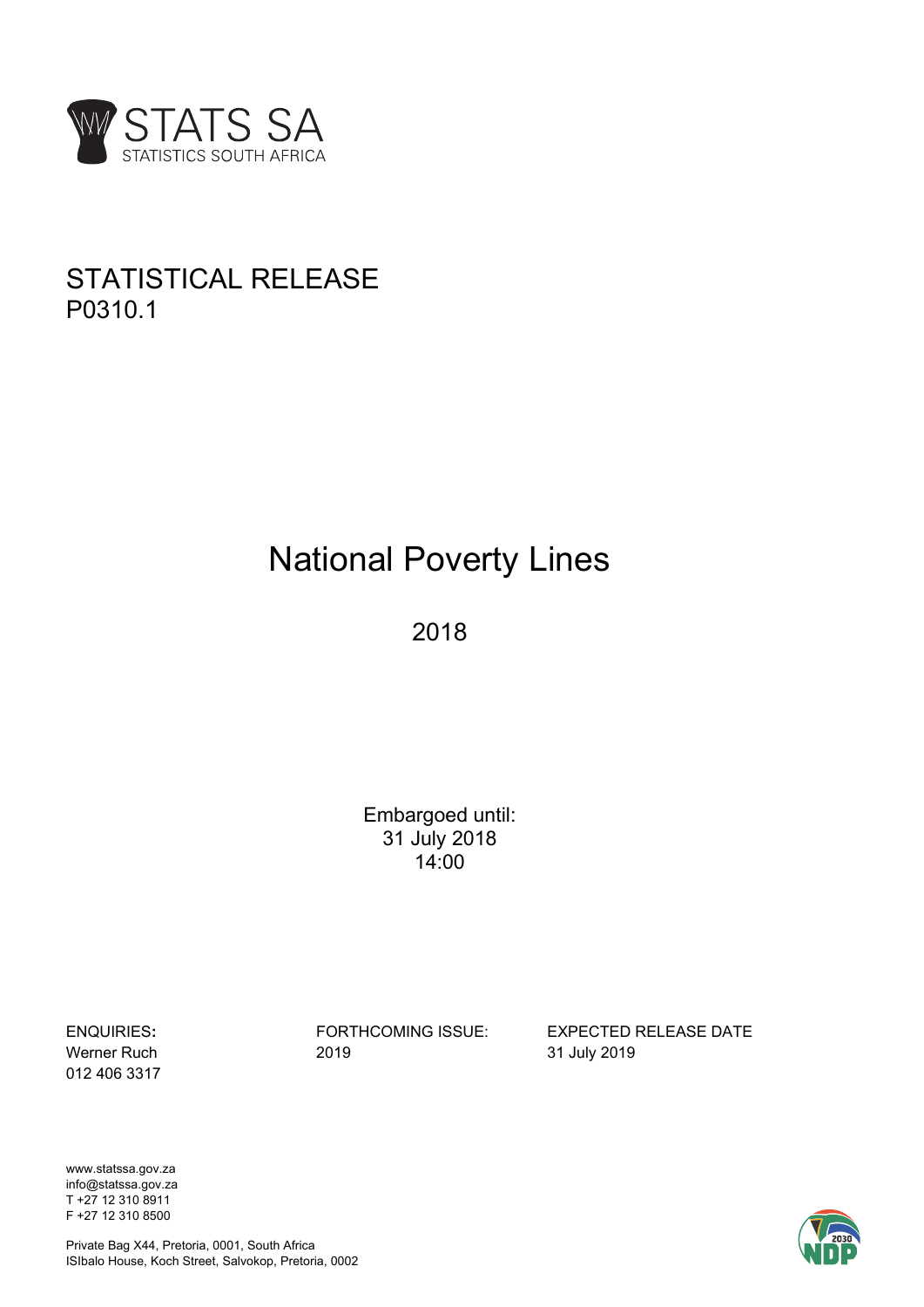

# STATISTICAL RELEASE P0310.1

# National Poverty Lines

2018

Embargoed until: 31 July 2018 14:00

012 406 3317

Werner Ruch 2019 31 July 2019

ENQUIRIES**:** FORTHCOMING ISSUE: EXPECTED RELEASE DATE

www.statssa.gov.za info@statssa.gov.za T +27 12 310 8911 F +27 12 310 8500



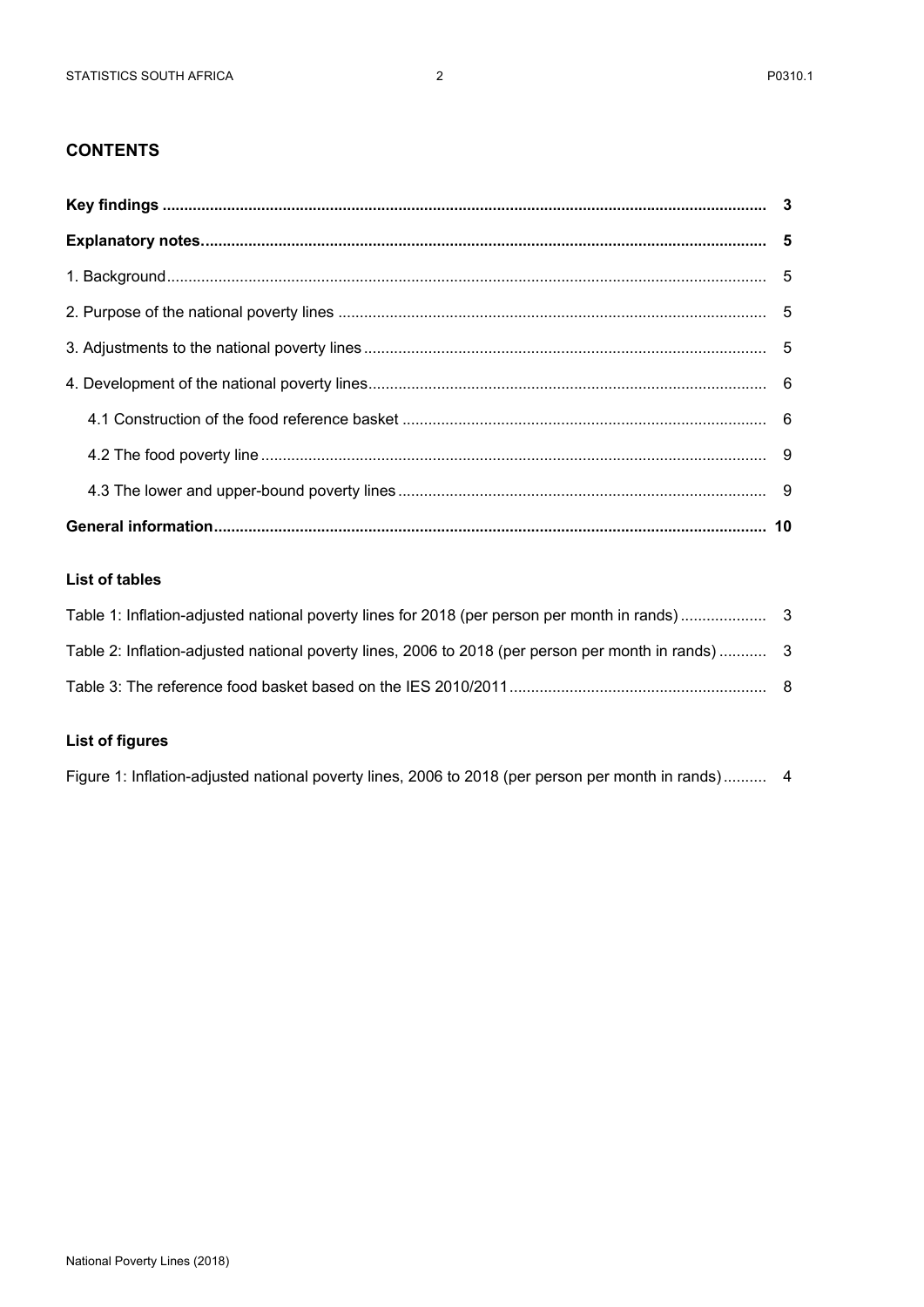# **CONTENTS**

### **List of tables**

| Table 2: Inflation-adjusted national poverty lines, 2006 to 2018 (per person per month in rands)  3 |  |
|-----------------------------------------------------------------------------------------------------|--|
|                                                                                                     |  |

# **List of figures**

Figure 1: Inflation-adjusted national poverty lines, 2006 to 2018 (per person per month in rands) .......... 4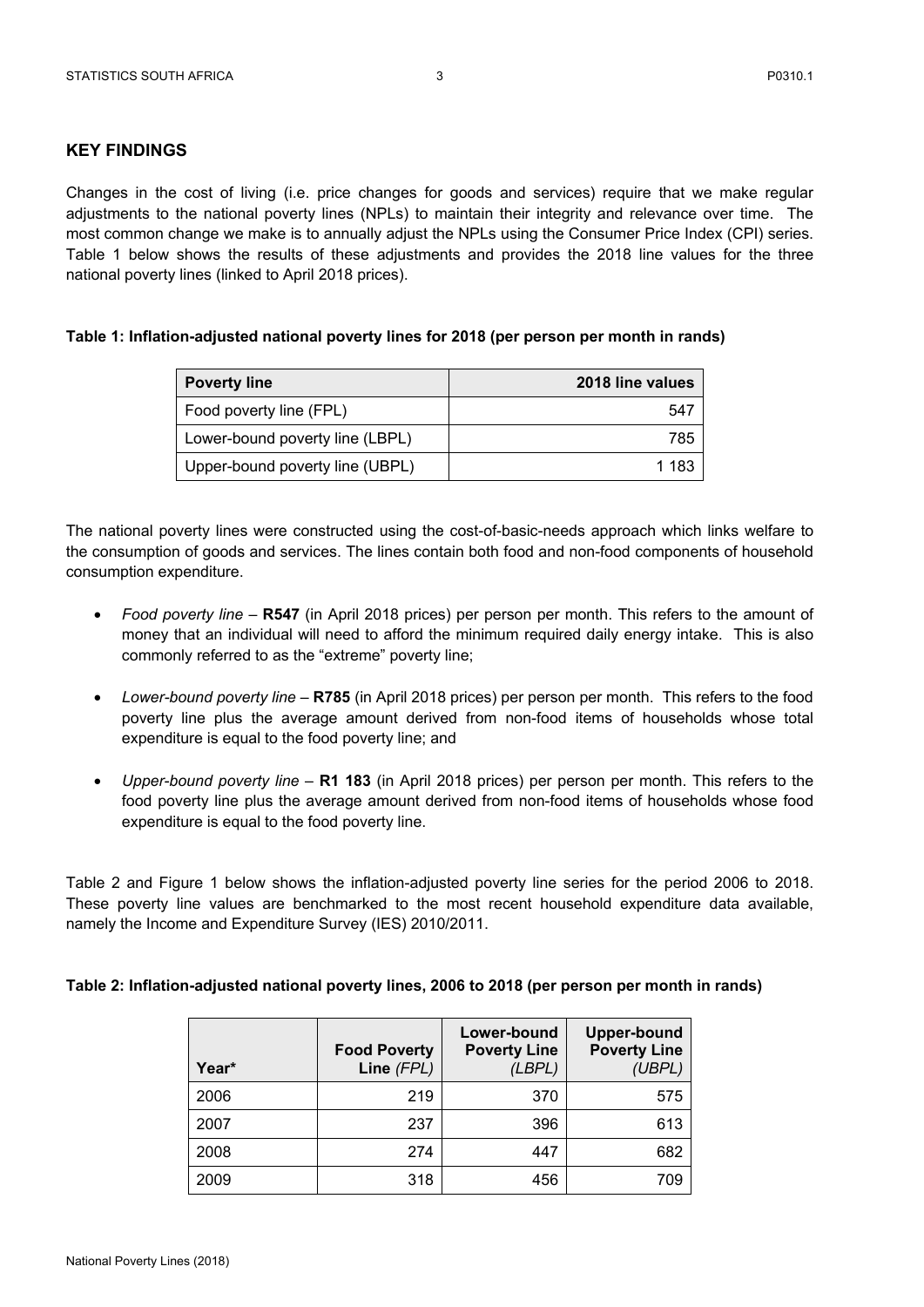# **KEY FINDINGS**

Changes in the cost of living (i.e. price changes for goods and services) require that we make regular adjustments to the national poverty lines (NPLs) to maintain their integrity and relevance over time. The most common change we make is to annually adjust the NPLs using the Consumer Price Index (CPI) series. Table 1 below shows the results of these adjustments and provides the 2018 line values for the three national poverty lines (linked to April 2018 prices).

#### **Table 1: Inflation-adjusted national poverty lines for 2018 (per person per month in rands)**

| <b>Poverty line</b>             | 2018 line values |
|---------------------------------|------------------|
| Food poverty line (FPL)         | 547              |
| Lower-bound poverty line (LBPL) | 785              |
| Upper-bound poverty line (UBPL) | 1 183            |

The national poverty lines were constructed using the cost-of-basic-needs approach which links welfare to the consumption of goods and services. The lines contain both food and non-food components of household consumption expenditure.

- *Food poverty line* **R547** (in April 2018 prices) per person per month. This refers to the amount of money that an individual will need to afford the minimum required daily energy intake. This is also commonly referred to as the "extreme" poverty line;
- *Lower-bound poverty line* **R785** (in April 2018 prices) per person per month. This refers to the food poverty line plus the average amount derived from non-food items of households whose total expenditure is equal to the food poverty line; and
- *Upper-bound poverty line* **R1 183** (in April 2018 prices) per person per month. This refers to the food poverty line plus the average amount derived from non-food items of households whose food expenditure is equal to the food poverty line.

Table 2 and Figure 1 below shows the inflation-adjusted poverty line series for the period 2006 to 2018. These poverty line values are benchmarked to the most recent household expenditure data available, namely the Income and Expenditure Survey (IES) 2010/2011.

#### **Table 2: Inflation-adjusted national poverty lines, 2006 to 2018 (per person per month in rands)**

| Year* | <b>Food Poverty</b><br>Line (FPL) | Lower-bound<br><b>Poverty Line</b><br>(LBPL) | <b>Upper-bound</b><br><b>Poverty Line</b><br>(UBPL) |
|-------|-----------------------------------|----------------------------------------------|-----------------------------------------------------|
| 2006  | 219                               | 370                                          | 575                                                 |
| 2007  | 237                               | 396                                          | 613                                                 |
| 2008  | 274                               | 447                                          | 682                                                 |
| 2009  | 318                               | 456                                          | 709                                                 |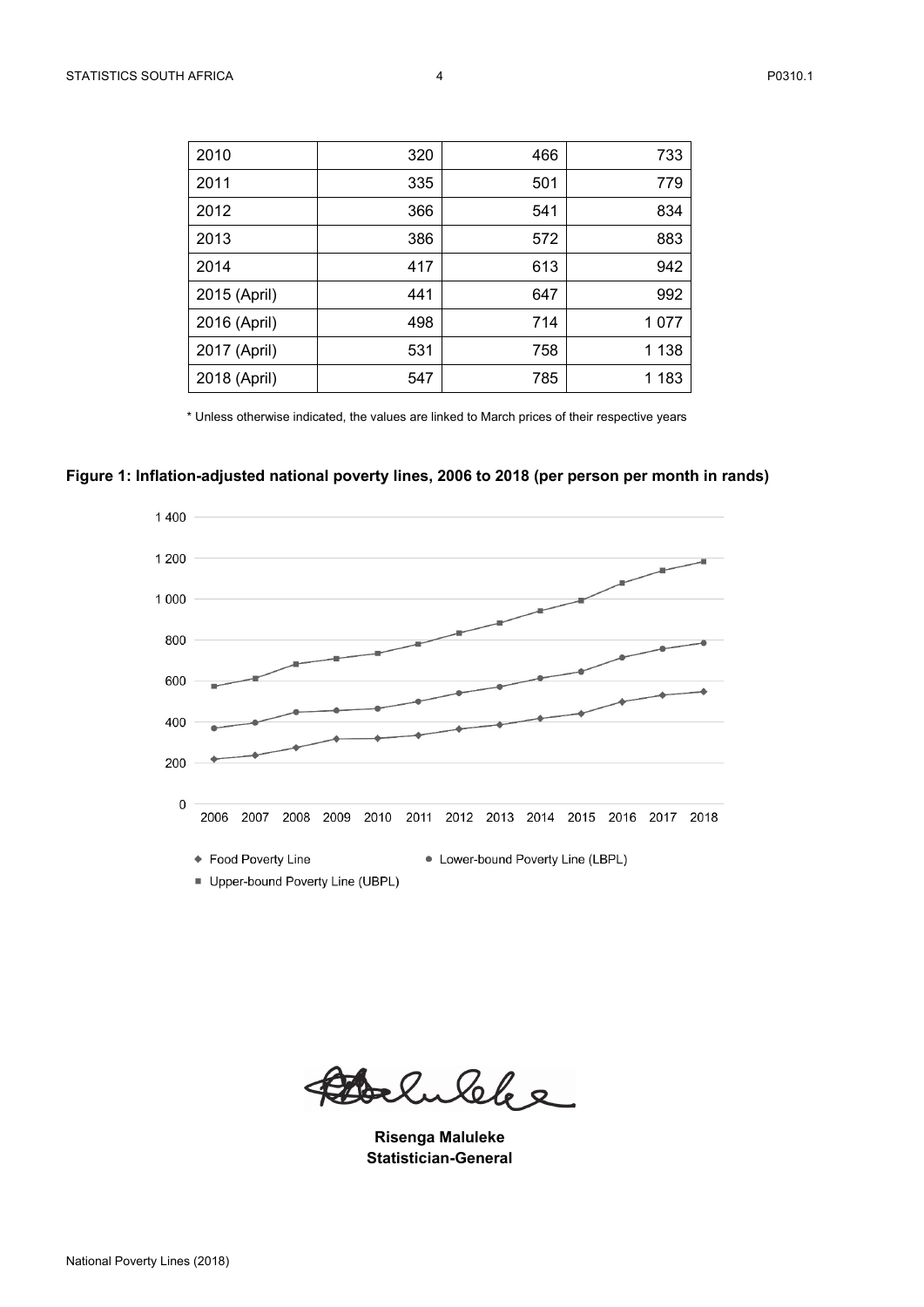| 2010         | 320 | 466 | 733     |
|--------------|-----|-----|---------|
| 2011         | 335 | 501 | 779     |
| 2012         | 366 | 541 | 834     |
| 2013         | 386 | 572 | 883     |
| 2014         | 417 | 613 | 942     |
| 2015 (April) | 441 | 647 | 992     |
| 2016 (April) | 498 | 714 | 1 0 7 7 |
| 2017 (April) | 531 | 758 | 1 1 3 8 |
| 2018 (April) | 547 | 785 | 1 1 8 3 |

\* Unless otherwise indicated, the values are linked to March prices of their respective years

# **Figure 1: Inflation-adjusted national poverty lines, 2006 to 2018 (per person per month in rands)**



Belukke

**Risenga Maluleke Statistician-General**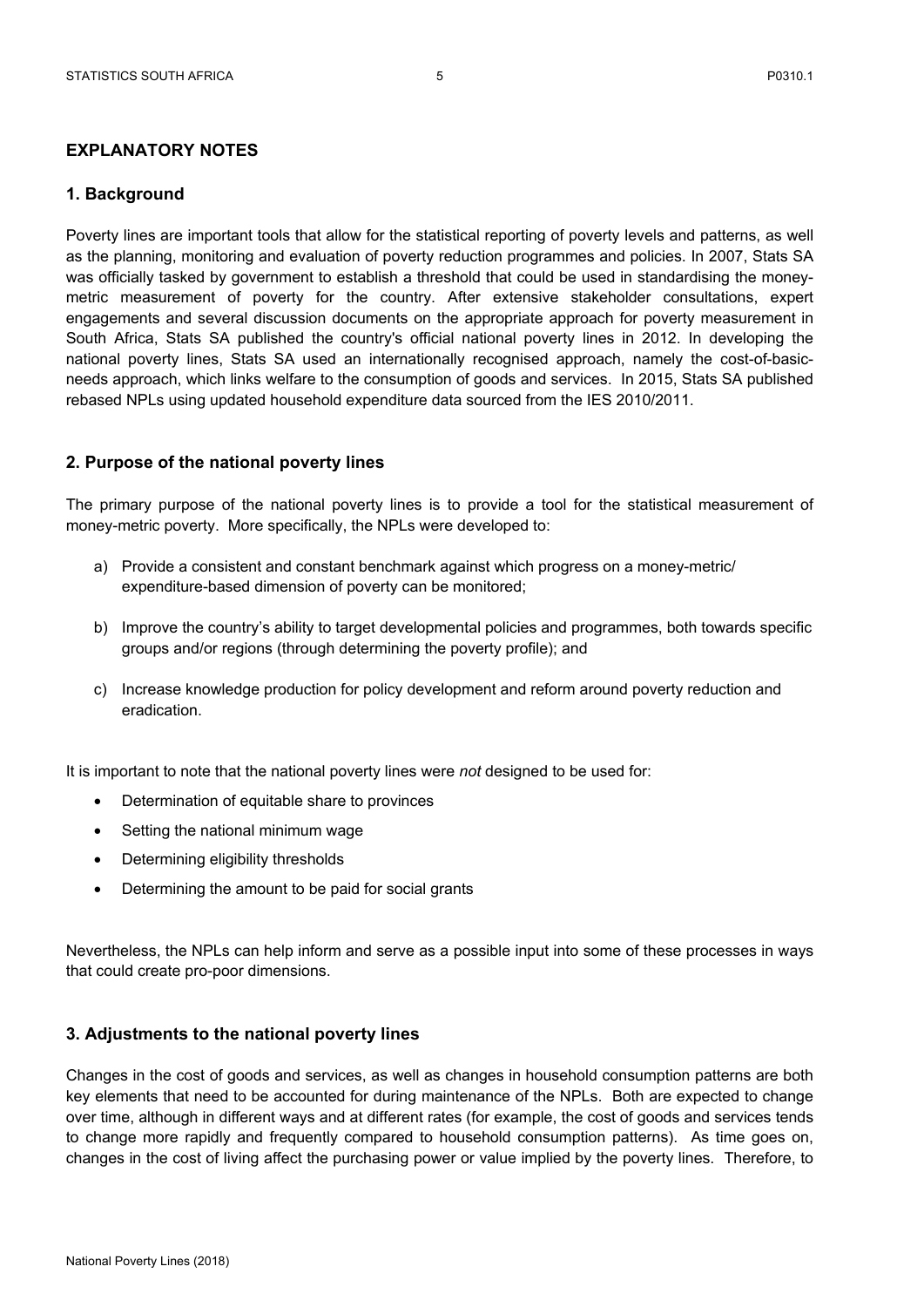# **1. Background**

Poverty lines are important tools that allow for the statistical reporting of poverty levels and patterns, as well as the planning, monitoring and evaluation of poverty reduction programmes and policies. In 2007, Stats SA was officially tasked by government to establish a threshold that could be used in standardising the moneymetric measurement of poverty for the country. After extensive stakeholder consultations, expert engagements and several discussion documents on the appropriate approach for poverty measurement in South Africa, Stats SA published the country's official national poverty lines in 2012. In developing the national poverty lines, Stats SA used an internationally recognised approach, namely the cost-of-basicneeds approach, which links welfare to the consumption of goods and services. In 2015, Stats SA published rebased NPLs using updated household expenditure data sourced from the IES 2010/2011.

# **2. Purpose of the national poverty lines**

The primary purpose of the national poverty lines is to provide a tool for the statistical measurement of money-metric poverty. More specifically, the NPLs were developed to:

- a) Provide a consistent and constant benchmark against which progress on a money-metric/ expenditure-based dimension of poverty can be monitored;
- b) Improve the country's ability to target developmental policies and programmes, both towards specific groups and/or regions (through determining the poverty profile); and
- c) Increase knowledge production for policy development and reform around poverty reduction and eradication.

It is important to note that the national poverty lines were *not* designed to be used for:

- Determination of equitable share to provinces
- Setting the national minimum wage
- Determining eligibility thresholds
- Determining the amount to be paid for social grants

Nevertheless, the NPLs can help inform and serve as a possible input into some of these processes in ways that could create pro-poor dimensions.

## **3. Adjustments to the national poverty lines**

Changes in the cost of goods and services, as well as changes in household consumption patterns are both key elements that need to be accounted for during maintenance of the NPLs. Both are expected to change over time, although in different ways and at different rates (for example, the cost of goods and services tends to change more rapidly and frequently compared to household consumption patterns). As time goes on, changes in the cost of living affect the purchasing power or value implied by the poverty lines. Therefore, to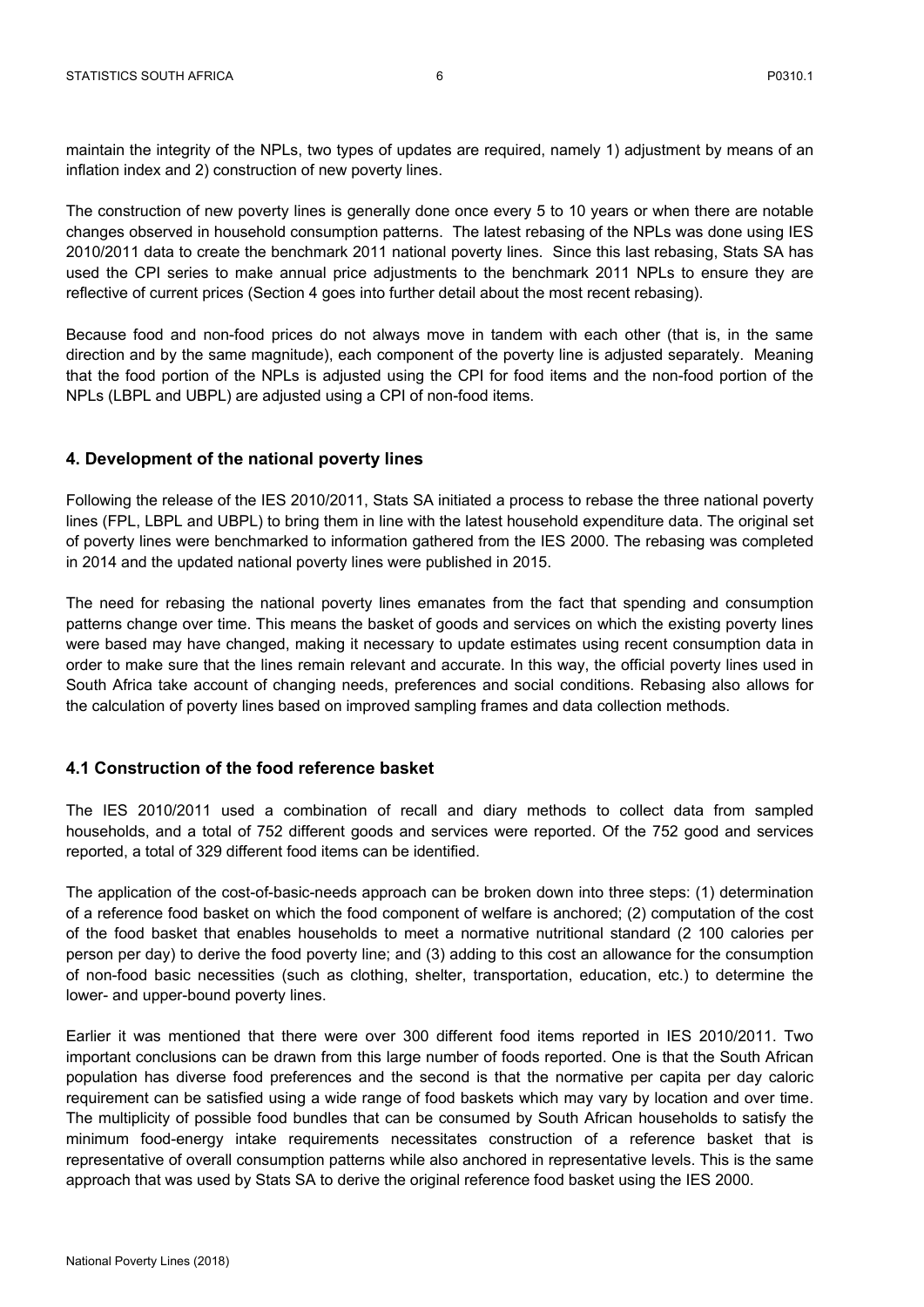maintain the integrity of the NPLs, two types of updates are required, namely 1) adjustment by means of an inflation index and 2) construction of new poverty lines.

The construction of new poverty lines is generally done once every 5 to 10 years or when there are notable changes observed in household consumption patterns. The latest rebasing of the NPLs was done using IES 2010/2011 data to create the benchmark 2011 national poverty lines. Since this last rebasing, Stats SA has used the CPI series to make annual price adjustments to the benchmark 2011 NPLs to ensure they are reflective of current prices (Section 4 goes into further detail about the most recent rebasing).

Because food and non-food prices do not always move in tandem with each other (that is, in the same direction and by the same magnitude), each component of the poverty line is adjusted separately. Meaning that the food portion of the NPLs is adjusted using the CPI for food items and the non-food portion of the NPLs (LBPL and UBPL) are adjusted using a CPI of non-food items.

# **4. Development of the national poverty lines**

Following the release of the IES 2010/2011, Stats SA initiated a process to rebase the three national poverty lines (FPL, LBPL and UBPL) to bring them in line with the latest household expenditure data. The original set of poverty lines were benchmarked to information gathered from the IES 2000. The rebasing was completed in 2014 and the updated national poverty lines were published in 2015.

The need for rebasing the national poverty lines emanates from the fact that spending and consumption patterns change over time. This means the basket of goods and services on which the existing poverty lines were based may have changed, making it necessary to update estimates using recent consumption data in order to make sure that the lines remain relevant and accurate. In this way, the official poverty lines used in South Africa take account of changing needs, preferences and social conditions. Rebasing also allows for the calculation of poverty lines based on improved sampling frames and data collection methods.

## **4.1 Construction of the food reference basket**

The IES 2010/2011 used a combination of recall and diary methods to collect data from sampled households, and a total of 752 different goods and services were reported. Of the 752 good and services reported, a total of 329 different food items can be identified.

The application of the cost-of-basic-needs approach can be broken down into three steps: (1) determination of a reference food basket on which the food component of welfare is anchored; (2) computation of the cost of the food basket that enables households to meet a normative nutritional standard (2 100 calories per person per day) to derive the food poverty line; and (3) adding to this cost an allowance for the consumption of non-food basic necessities (such as clothing, shelter, transportation, education, etc.) to determine the lower- and upper-bound poverty lines.

Earlier it was mentioned that there were over 300 different food items reported in IES 2010/2011. Two important conclusions can be drawn from this large number of foods reported. One is that the South African population has diverse food preferences and the second is that the normative per capita per day caloric requirement can be satisfied using a wide range of food baskets which may vary by location and over time. The multiplicity of possible food bundles that can be consumed by South African households to satisfy the minimum food-energy intake requirements necessitates construction of a reference basket that is representative of overall consumption patterns while also anchored in representative levels. This is the same approach that was used by Stats SA to derive the original reference food basket using the IES 2000.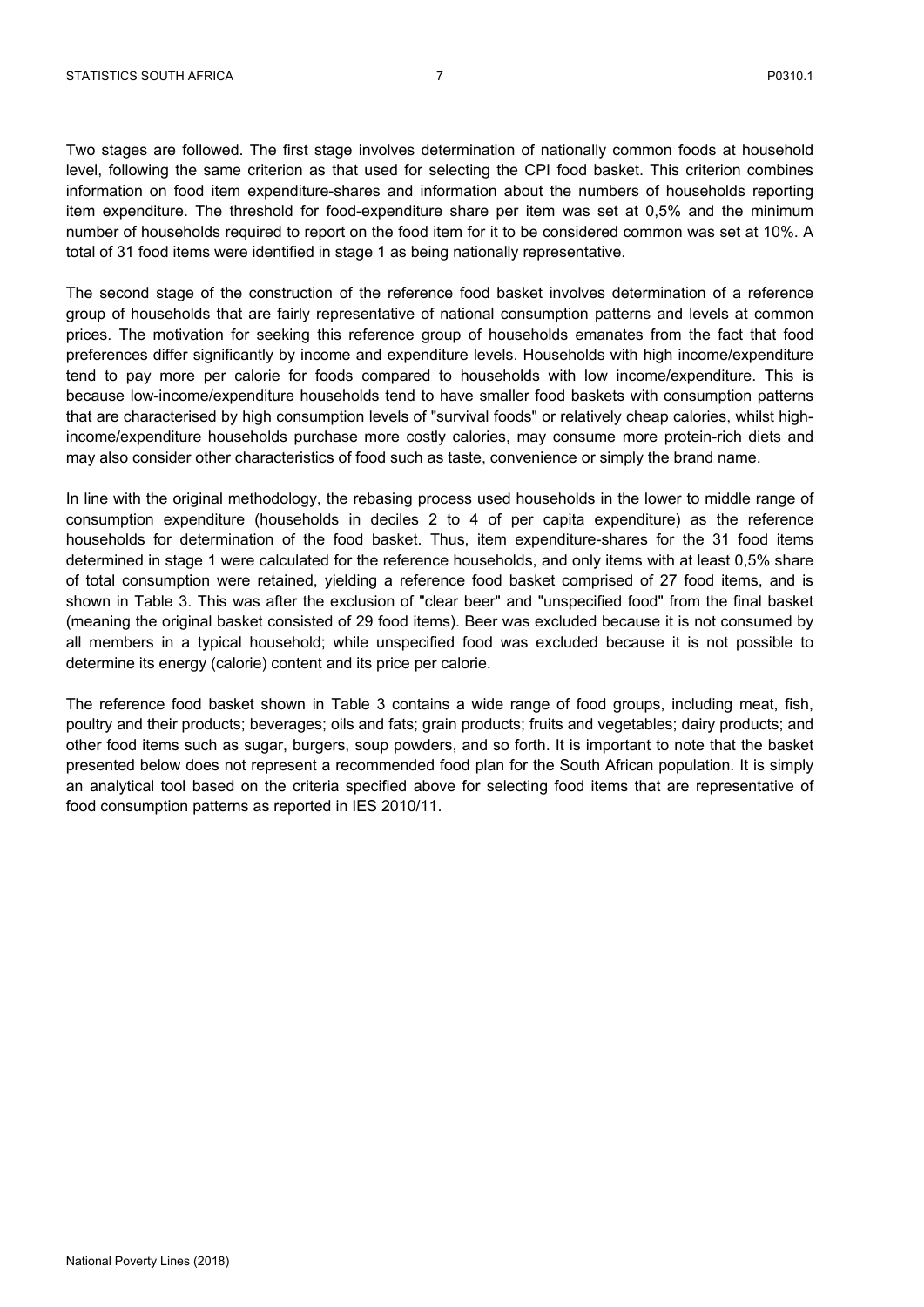Two stages are followed. The first stage involves determination of nationally common foods at household level, following the same criterion as that used for selecting the CPI food basket. This criterion combines information on food item expenditure-shares and information about the numbers of households reporting item expenditure. The threshold for food-expenditure share per item was set at 0,5% and the minimum number of households required to report on the food item for it to be considered common was set at 10%. A total of 31 food items were identified in stage 1 as being nationally representative.

The second stage of the construction of the reference food basket involves determination of a reference group of households that are fairly representative of national consumption patterns and levels at common prices. The motivation for seeking this reference group of households emanates from the fact that food preferences differ significantly by income and expenditure levels. Households with high income/expenditure tend to pay more per calorie for foods compared to households with low income/expenditure. This is because low-income/expenditure households tend to have smaller food baskets with consumption patterns that are characterised by high consumption levels of "survival foods" or relatively cheap calories, whilst highincome/expenditure households purchase more costly calories, may consume more protein-rich diets and may also consider other characteristics of food such as taste, convenience or simply the brand name.

In line with the original methodology, the rebasing process used households in the lower to middle range of consumption expenditure (households in deciles 2 to 4 of per capita expenditure) as the reference households for determination of the food basket. Thus, item expenditure-shares for the 31 food items determined in stage 1 were calculated for the reference households, and only items with at least 0,5% share of total consumption were retained, yielding a reference food basket comprised of 27 food items, and is shown in Table 3. This was after the exclusion of "clear beer" and "unspecified food" from the final basket (meaning the original basket consisted of 29 food items). Beer was excluded because it is not consumed by all members in a typical household; while unspecified food was excluded because it is not possible to determine its energy (calorie) content and its price per calorie.

The reference food basket shown in Table 3 contains a wide range of food groups, including meat, fish, poultry and their products; beverages; oils and fats; grain products; fruits and vegetables; dairy products; and other food items such as sugar, burgers, soup powders, and so forth. It is important to note that the basket presented below does not represent a recommended food plan for the South African population. It is simply an analytical tool based on the criteria specified above for selecting food items that are representative of food consumption patterns as reported in IES 2010/11.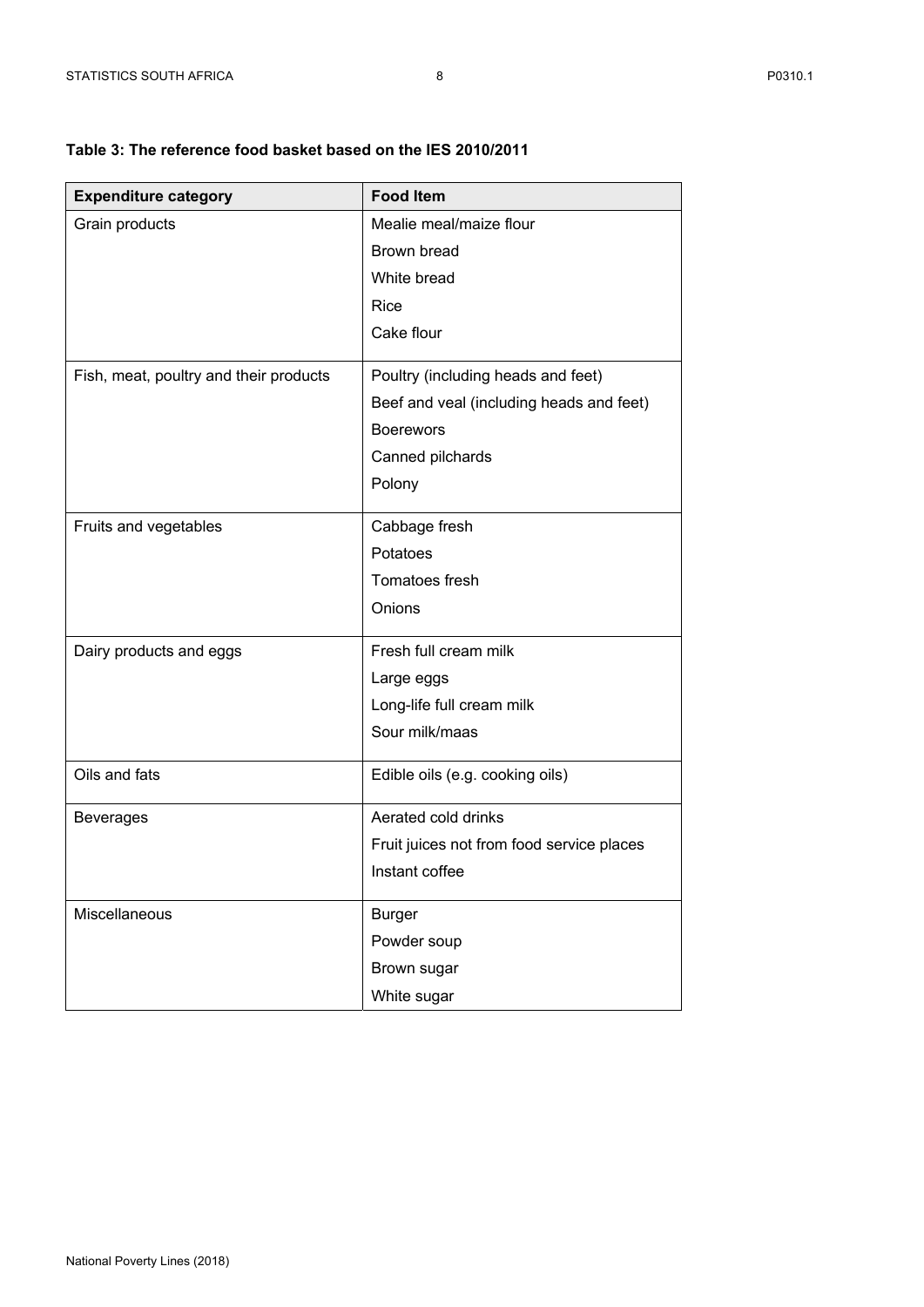# **Table 3: The reference food basket based on the IES 2010/2011**

| <b>Expenditure category</b>            | <b>Food Item</b>                          |
|----------------------------------------|-------------------------------------------|
| Grain products                         | Mealie meal/maize flour                   |
|                                        | Brown bread                               |
|                                        | White bread                               |
|                                        | Rice                                      |
|                                        | Cake flour                                |
| Fish, meat, poultry and their products | Poultry (including heads and feet)        |
|                                        | Beef and veal (including heads and feet)  |
|                                        | <b>Boerewors</b>                          |
|                                        | Canned pilchards                          |
|                                        | Polony                                    |
| Fruits and vegetables                  | Cabbage fresh                             |
|                                        | Potatoes                                  |
|                                        | Tomatoes fresh                            |
|                                        | Onions                                    |
| Dairy products and eggs                | Fresh full cream milk                     |
|                                        | Large eggs                                |
|                                        | Long-life full cream milk                 |
|                                        | Sour milk/maas                            |
| Oils and fats                          | Edible oils (e.g. cooking oils)           |
| <b>Beverages</b>                       | Aerated cold drinks                       |
|                                        | Fruit juices not from food service places |
|                                        | Instant coffee                            |
| Miscellaneous                          | <b>Burger</b>                             |
|                                        | Powder soup                               |
|                                        | Brown sugar                               |
|                                        | White sugar                               |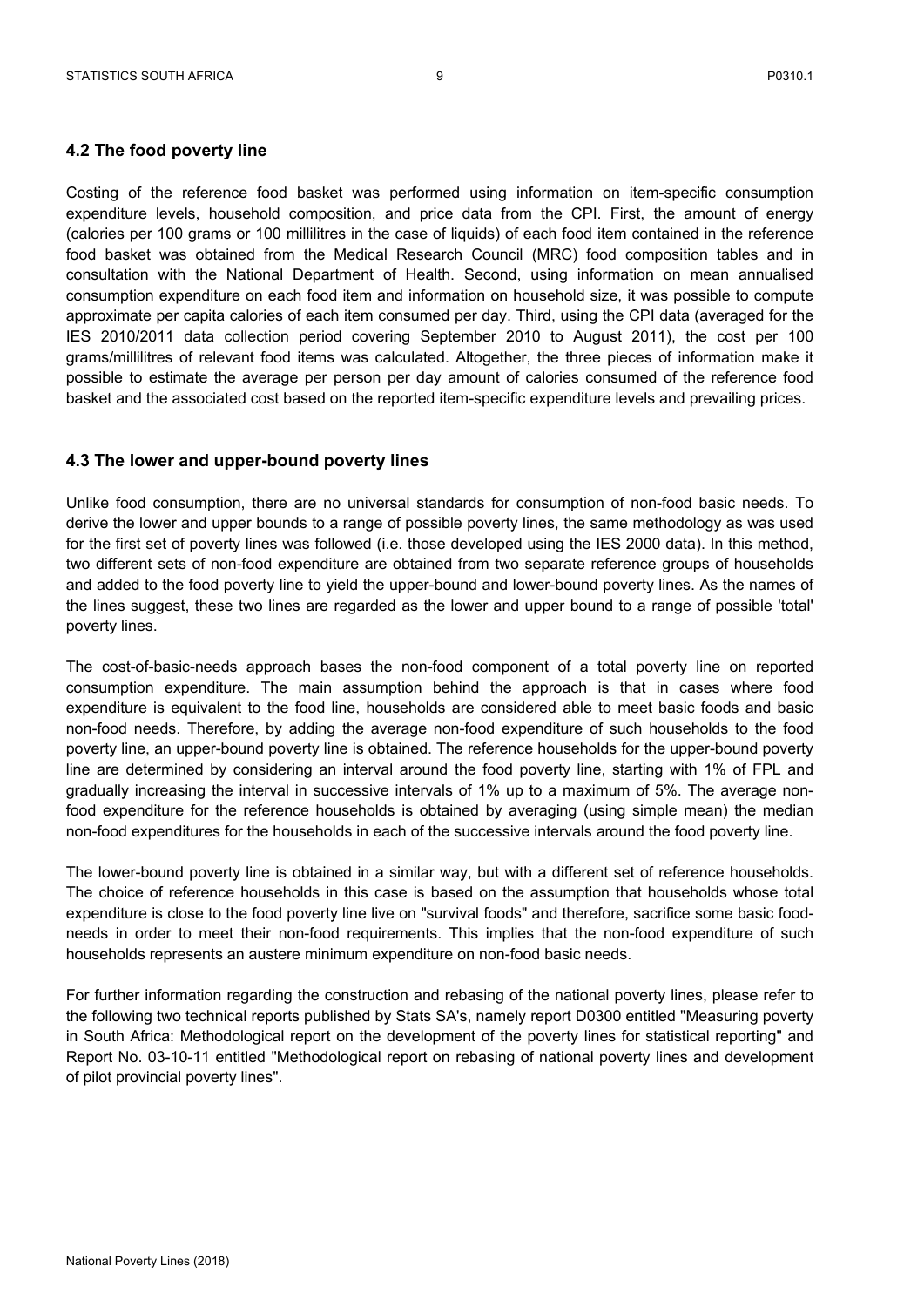#### **4.2 The food poverty line**

Costing of the reference food basket was performed using information on item-specific consumption expenditure levels, household composition, and price data from the CPI. First, the amount of energy (calories per 100 grams or 100 millilitres in the case of liquids) of each food item contained in the reference food basket was obtained from the Medical Research Council (MRC) food composition tables and in consultation with the National Department of Health. Second, using information on mean annualised consumption expenditure on each food item and information on household size, it was possible to compute approximate per capita calories of each item consumed per day. Third, using the CPI data (averaged for the IES 2010/2011 data collection period covering September 2010 to August 2011), the cost per 100 grams/millilitres of relevant food items was calculated. Altogether, the three pieces of information make it possible to estimate the average per person per day amount of calories consumed of the reference food basket and the associated cost based on the reported item-specific expenditure levels and prevailing prices.

#### **4.3 The lower and upper-bound poverty lines**

Unlike food consumption, there are no universal standards for consumption of non-food basic needs. To derive the lower and upper bounds to a range of possible poverty lines, the same methodology as was used for the first set of poverty lines was followed (i.e. those developed using the IES 2000 data). In this method, two different sets of non-food expenditure are obtained from two separate reference groups of households and added to the food poverty line to yield the upper-bound and lower-bound poverty lines. As the names of the lines suggest, these two lines are regarded as the lower and upper bound to a range of possible 'total' poverty lines.

The cost-of-basic-needs approach bases the non-food component of a total poverty line on reported consumption expenditure. The main assumption behind the approach is that in cases where food expenditure is equivalent to the food line, households are considered able to meet basic foods and basic non-food needs. Therefore, by adding the average non-food expenditure of such households to the food poverty line, an upper-bound poverty line is obtained. The reference households for the upper-bound poverty line are determined by considering an interval around the food poverty line, starting with 1% of FPL and gradually increasing the interval in successive intervals of 1% up to a maximum of 5%. The average nonfood expenditure for the reference households is obtained by averaging (using simple mean) the median non-food expenditures for the households in each of the successive intervals around the food poverty line.

The lower-bound poverty line is obtained in a similar way, but with a different set of reference households. The choice of reference households in this case is based on the assumption that households whose total expenditure is close to the food poverty line live on "survival foods" and therefore, sacrifice some basic foodneeds in order to meet their non-food requirements. This implies that the non-food expenditure of such households represents an austere minimum expenditure on non-food basic needs.

For further information regarding the construction and rebasing of the national poverty lines, please refer to the following two technical reports published by Stats SA's, namely report D0300 entitled "Measuring poverty in South Africa: Methodological report on the development of the poverty lines for statistical reporting" and Report No. 03-10-11 entitled "Methodological report on rebasing of national poverty lines and development of pilot provincial poverty lines".